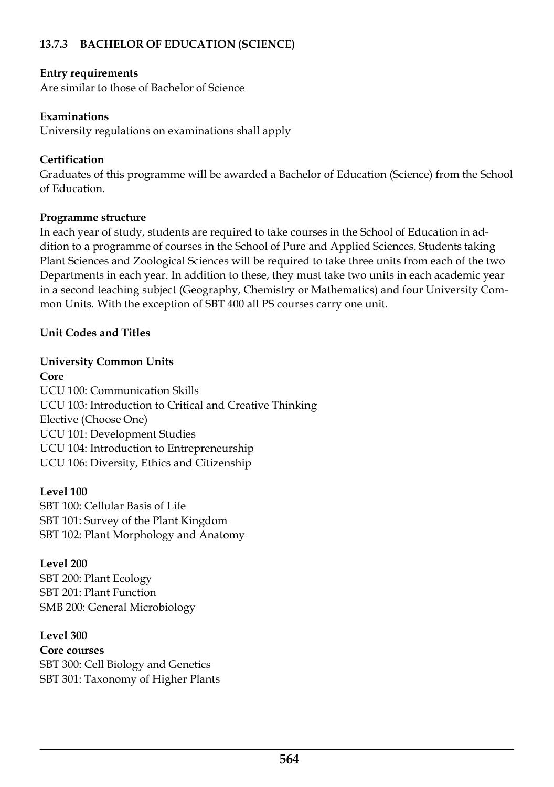### **13.7.3 BACHELOR OF EDUCATION (SCIENCE)**

### **Entry requirements**

Are similar to those of Bachelor of Science

### **Examinations**

University regulations on examinations shall apply

### **Certification**

Graduates of this programme will be awarded a Bachelor of Education (Science) from the School of Education.

### **Programme structure**

In each year of study, students are required to take courses in the School of Education in ad dition to a programme of courses in the School of Pure and Applied Sciences. Students taking Plant Sciences and Zoological Sciences will be required to take three units from each of the two Departments in each year. In addition to these, they must take two units in each academic year in a second teaching subject (Geography, Chemistry or Mathematics) and four University Com mon Units. With the exception of SBT 400 all PS courses carry one unit.

### **Unit Codes and Titles**

### **University Common Units**

**Core** UCU 100: Communication Skills UCU 103: Introduction to Critical and Creative Thinking Elective (Choose One) UCU 101: Development Studies UCU 104: Introduction to Entrepreneurship UCU 106: Diversity, Ethics and Citizenship

### **Level 100**

SBT 100: Cellular Basis of Life SBT 101: Survey of the Plant Kingdom SBT 102: Plant Morphology and Anatomy

# **Level 200**

SBT 200: Plant Ecology SBT 201: Plant Function SMB 200: General Microbiology

### **Level 300**

**Core courses** SBT 300: Cell Biology and Genetics SBT 301: Taxonomy of Higher Plants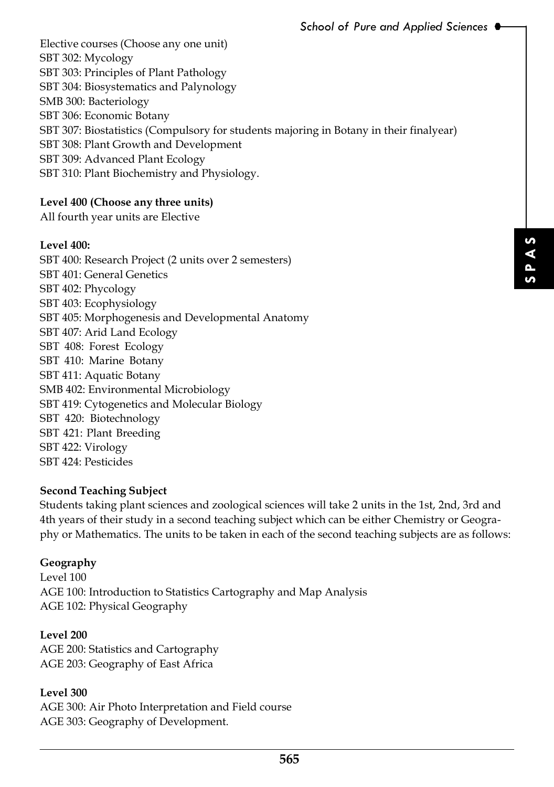Elective courses (Choose any one unit) SBT 302: Mycology SBT 303: Principles of Plant Pathology SBT 304: Biosystematics and Palynology SMB 300: Bacteriology SBT 306: Economic Botany SBT 307: Biostatistics (Compulsory for students majoring in Botany in their finalyear) SBT 308: Plant Growth and Development SBT 309: Advanced Plant Ecology SBT 310: Plant Biochemistry and Physiology.

## **Level 400 (Choose any three units)**

All fourth year units are Elective

### **Level 400:**

SBT 400: Research Project (2 units over 2 semesters) SBT 401: General Genetics SBT 402: Phycology SBT 403: Ecophysiology SBT 405: Morphogenesis and Developmental Anatomy SBT 407: Arid Land Ecology SBT 408: Forest Ecology SBT 410: Marine Botany SBT 411: Aquatic Botany SMB 402: Environmental Microbiology SBT 419: Cytogenetics and Molecular Biology SBT 420: Biotechnology SBT 421: Plant Breeding SBT 422: Virology SBT 424: Pesticides

### **Second Teaching Subject**

Fraces will take 2 units in the 1st, 2nd, 3rd and<br>ect which can be either Chemistry or Geogra-<br>h of the second teaching subjects are as follows:<br>and Map Analysis<br>secse Students taking plant sciences and zoological sciences will take 2 units in the 1st, 2nd, 3rd and 4th years of their study in a second teaching subject which can be either Chemistry or Geogra phy or Mathematics. The units to be taken in each of the second teaching subjects are as follows:

### **Geography**

Level 100 AGE 100: Introduction to Statistics Cartography and Map Analysis AGE 102: Physical Geography

#### **Level 200**

AGE 200: Statistics and Cartography AGE 203: Geography of East Africa

### **Level 300**

AGE 300: Air Photo Interpretation and Field course AGE 303: Geography of Development.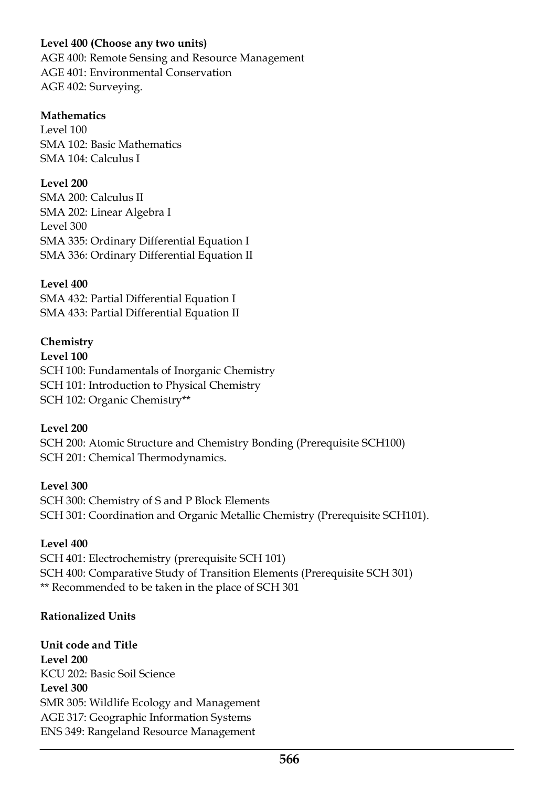## **Level 400 (Choose any two units)**

AGE 400: Remote Sensing and Resource Management AGE 401: Environmental Conservation AGE 402: Surveying.

### **Mathematics**

Level 100 SMA 102: Basic Mathematics SMA 104: Calculus I

### **Level 200**

SMA 200: Calculus II SMA 202: Linear Algebra I Level 300 SMA 335: Ordinary Differential Equation I SMA 336: Ordinary Differential Equation II

### **Level 400**

SMA 432: Partial Differential Equation I SMA 433: Partial Differential Equation II

## **Chemistry**

**Level 100** SCH 100: Fundamentals of Inorganic Chemistry SCH 101: Introduction to Physical Chemistry SCH 102: Organic Chemistry\*\*

### **Level 200**

SCH 200: Atomic Structure and Chemistry Bonding (Prerequisite SCH100) SCH 201: Chemical Thermodynamics.

### **Level 300**

SCH 300: Chemistry of S and P Block Elements SCH 301: Coordination and Organic Metallic Chemistry (Prerequisite SCH101).

### **Level 400**

SCH 401: Electrochemistry (prerequisite SCH 101) SCH 400: Comparative Study of Transition Elements (Prerequisite SCH 301) \*\* Recommended to be taken in the place of SCH 301

### **Rationalized Units**

**Unit code and Title Level 200** KCU 202: Basic Soil Science **Level 300** SMR 305: Wildlife Ecology and Management AGE 317: Geographic Information Systems ENS 349: Rangeland Resource Management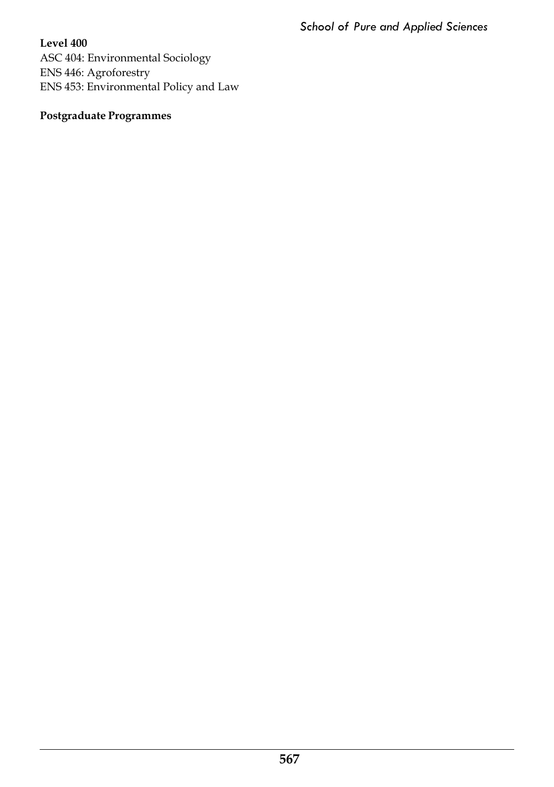**Level 400** ASC 404: Environmental Sociology ENS 446: Agroforestry ENS 453: Environmental Policy and Law

# **Postgraduate Programmes**